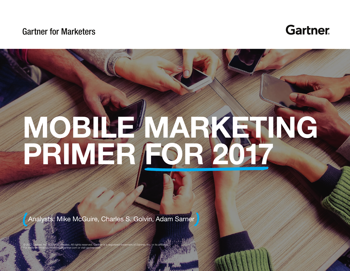#### Gartner for Marketers



# **MOBILE MARKETING**  PRIMER FOR 2017

 $G_{\rm eff}$  , and  $G_{\rm eff}$  and  $G_{\rm eff}$  and  $G_{\rm eff}$  are  $G_{\rm eff}$  and  $G_{\rm eff}$  and  $G_{\rm eff}$  are  $G_{\rm eff}$  and  $G_{\rm eff}$  and  $G_{\rm eff}$  are  $G_{\rm eff}$  and  $G_{\rm eff}$  and  $G_{\rm eff}$  are  $G_{\rm eff}$  and  $G_{\rm eff}$  and  $G_{\rm eff}$  are  $G_{\rm eff}$  an

Analysts: Mike McGuire, Charles S. Golvin, Adam Sarner

© 2017 Gartner, Inc. and/or its affiliates. All rights reserved. Gartner is a registered trademark of Gartner, Inc. or its affiliates. For more information, email info@gartner.com or visit gartner.com.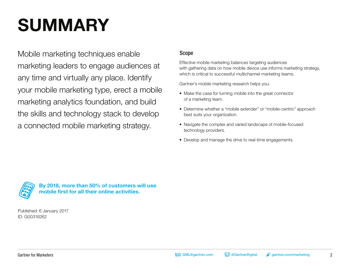# **SUMMARY**

Mobile marketing techniques enable marketing leaders to engage audiences at any time and virtually any place. Identify your mobile marketing type, erect a mobile marketing analytics foundation, and build the skills and technology stack to develop a connected mobile marketing strategy.

#### Scope

Effective mobile marketing balances targeting audiences with gathering data on how mobile device use informs marketing strategy, which is critical to successful multichannel marketing teams.

Gartner's mobile marketing research helps you:

- Make the case for turning mobile into the great connector of a marketing team.
- Determine whether a "mobile extender" or "mobile-centric" approach best suits your organization.
- Navigate the complex and varied landscape of mobile-focused technology providers.
- Develop and manage the drive to real-time engagements.



**By 2018, more than 50% of customers will use mobile first for all their online activities.** 

Published: 6 January 2017 ID: G00318262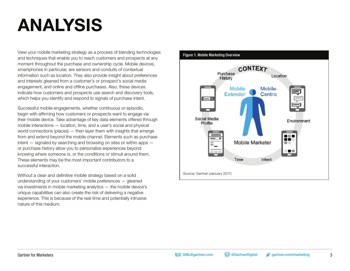## **ANALYSIS**

View your mobile marketing strategy as a process of blending technologies and techniques that enable you to reach customers and prospects at any moment throughout the purchase and ownership cycle. Mobile devices, smartphones in particular, are sensors and conduits of contextual information such as location. They also provide insight about preferences and interests gleaned from a customer's or prospect's social media engagement, and online and offline purchases. Also, these devices indicate how customers and prospects use search and discovery tools, which helps you identify and respond to signals of purchase intent.

Successful mobile engagements, whether continuous or episodic, begin with affirming how customers or prospects want to engage via their mobile device. Take advantage of key data elements offered through mobile interactions — location, time, and a user's social and physical world connections (places) — then layer them with insights that emerge from and extend beyond the mobile channel. Elements such as purchase intent — signaled by searching and browsing on sites or within apps or purchase history allow you to personalize experiences beyond knowing where someone is, or the conditions or stimuli around them. These elements may be the most important contributors to a successful interaction.

Without a clear and definitive mobile strategy based on a solid understanding of your customers' mobile preferences — gleaned via investments in mobile marketing analytics — the mobile device's unique capabilities can also create the risk of delivering a negative experience. This is because of the real-time and potentially intrusive nature of this medium.

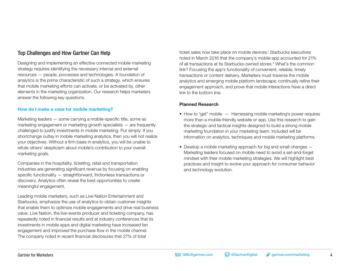#### Top Challenges and How Gartner Can Help

Designing and implementing an effective connected mobile marketing strategy requires identifying the necessary internal and external resources — people, processes and technologies. A foundation of analytics is the prime characteristic of such a strategy, which ensures that mobile marketing efforts can activate, or be activated by, other elements in the marketing organization. Our research helps marketers answer the following key questions.

#### **How do I make a case for mobile marketing?**

Marketing leaders — some carrying a mobile-specific title, some as marketing engagement or marketing growth specialists — are frequently challenged to justify investments in mobile marketing. Put simply: If you shortchange outlay in mobile marketing analytics, then you will not realize your objectives. Without a firm basis in analytics, you will be unable to refute others' skepticism about mobile's contribution to your overall marketing goals.

Companies in the hospitality, ticketing, retail and transportation industries are generating significant revenue by focusing on enabling specific functionality — straightforward, frictionless transactions or discovery. Analytics often reveal the best opportunities to create meaningful engagement.

Leading mobile marketers, such as Live Nation Entertainment and Starbucks, emphasize the use of analytics to obtain customer insights that enable them to optimize mobile engagements and drive real business value. Live Nation, the live-events producer and ticketing company, has repeatedly noted in financial results and at industry conferences that its investments in mobile apps and digital marketing have increased fan engagement and improved the purchase flow in the mobile channel. The company noted in recent financial disclosures that 27% of total

ticket sales now take place on mobile devices.<sup>1</sup> Starbucks executives noted in March 2016 that the company's mobile app accounted for 21% of all transactions at its Starbucks-owned stores.<sup>2</sup> What's the common link? Focusing the app's functionality of convenient, reliable, timely transactions or content delivery. Marketers must traverse the mobile analytics and emerging mobile platform landscape, continually refine their engagement approach, and prove that mobile interactions have a direct link to the bottom line.

#### **Planned Research**

- How to "get" mobile  $-$  Harnessing mobile marketing's power requires more than a mobile-friendly website or app. Use this research to gain the strategic and tactical insights designed to build a strong mobile marketing foundation in your marketing team. Included will be information on analytics, techniques and mobile marketing platforms.
- Develop a mobile marketing approach for big and small changes Marketing leaders focused on mobile need to avoid a set-and-forget mindset with their mobile marketing strategies. We will highlight best practices and insight to evolve your approach for consumer behavior and technology evolution.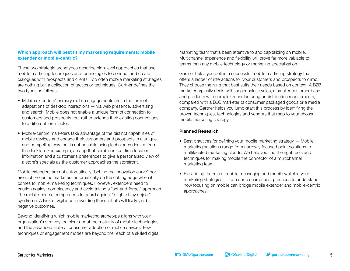#### **Which approach will best fit my marketing requirements: mobile extender or mobile-centric?**

These two strategic archetypes describe high-level approaches that use mobile marketing techniques and technologies to connect and create dialogues with prospects and clients. Too often mobile marketing strategies are nothing but a collection of tactics or techniques. Gartner defines the two types as follows:

- Mobile extenders' primary mobile engagements are in the form of adaptations of desktop interactions — via web presence, advertising and search. Mobile does not enable a unique form of connection to customers and prospects, but rather extends their existing connections to a different form factor.
- Mobile-centric marketers take advantage of the distinct capabilities of mobile devices and engage their customers and prospects in a unique and compelling way that is not possible using techniques derived from the desktop. For example, an app that combines real-time location information and a customer's preferences to give a personalized view of a store's specials as the customer approaches the storefront.

Mobile extenders are not automatically "behind the innovation curve" nor are mobile-centric marketers automatically on the cutting edge when it comes to mobile marketing techniques. However, extenders need to caution against complacency and avoid taking a "set-and-forget" approach. The mobile-centric camp needs to guard against "bright shiny object" syndrome. A lack of vigilance in avoiding these pitfalls will likely yield negative outcomes.

Beyond identifying which mobile marketing archetype aligns with your organization's strategy, be clear about the maturity of mobile technologies and the advanced state of consumer adoption of mobile devices. Few techniques or engagement modes are beyond the reach of a skilled digital marketing team that's been attentive to and capitalizing on mobile. Multichannel experience and flexibility will prove far more valuable to teams than any mobile technology or marketing specialization.

Gartner helps you define a successful mobile marketing strategy that offers a ladder of interactions for your customers and prospects to climb: They choose the rung that best suits their needs based on context. A B2B marketer typically deals with longer sales cycles, a smaller customer base and products with complex manufacturing or distribution requirements, compared with a B2C marketer of consumer packaged goods or a media company. Gartner helps you jump-start this process by identifying the proven techniques, technologies and vendors that map to your chosen mobile marketing strategy.

#### **Planned Research**

- Best practices for defining your mobile marketing strategy Mobile marketing solutions range from narrowly focused point solutions to multifaceted marketing clouds. We help you find the right tools and techniques for making mobile the connector of a multichannel marketing team.
- Expanding the role of mobile messaging and mobile wallet in your marketing strategies — Use our research best practices to understand how focusing on mobile can bridge mobile extender and mobile-centric approaches.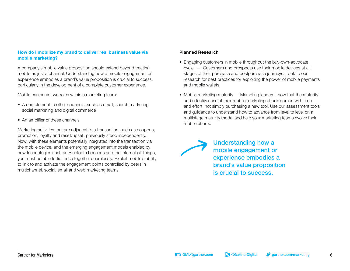#### **How do I mobilize my brand to deliver real business value via mobile marketing?**

A company's mobile value proposition should extend beyond treating mobile as just a channel. Understanding how a mobile engagement or experience embodies a brand's value proposition is crucial to success, particularly in the development of a complete customer experience.

Mobile can serve two roles within a marketing team:

- A complement to other channels, such as email, search marketing, social marketing and digital commerce
- An amplifier of these channels

Marketing activities that are adjacent to a transaction, such as coupons, promotion, loyalty and resell/upsell, previously stood independently. Now, with these elements potentially integrated into the transaction via the mobile device, and the emerging engagement models enabled by new technologies such as Bluetooth beacons and the Internet of Things, you must be able to tie these together seamlessly. Exploit mobile's ability to link to and activate the engagement points controlled by peers in multichannel, social, email and web marketing teams.

#### **Planned Research**

- Engaging customers in mobile throughout the buy-own-advocate cycle — Customers and prospects use their mobile devices at all stages of their purchase and postpurchase journeys. Look to our research for best practices for exploiting the power of mobile payments and mobile wallets.
- Mobile marketing maturity  $-$  Marketing leaders know that the maturity and effectiveness of their mobile marketing efforts comes with time and effort, not simply purchasing a new tool. Use our assessment tools and guidance to understand how to advance from level to level on a multistage maturity model and help your marketing teams evolve their mobile efforts.

Understanding how a mobile engagement or experience embodies a brand's value proposition is crucial to success.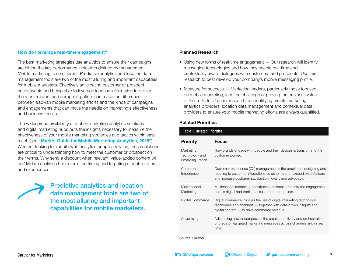#### **How do I leverage real-time engagement?**

The best marketing strategies use analytics to ensure their campaigns are hitting the key performance indicators defined by management. Mobile marketing is no different. Predictive analytics and location data management tools are two of the most alluring and important capabilities for mobile marketers. Effectively anticipating customer or prospect needs/wants and being able to leverage location information to deliver the most relevant and compelling offers can make the difference between also-ran mobile marketing efforts and the kinds of campaigns and engagements that can move the needle on marketing's effectiveness and business results.

The widespread availability of mobile marketing analytics solutions and digital marketing hubs puts the insights necessary to measure the effectiveness of your mobile marketing strategies and tactics within easy reach (see **["Market Guide for Mobile Marketing Analytics, 2015"](https://www.gartner.com/document/code/255411?ref=grbody&refval=3564117)**). Whether looking for mobile web analytics or app analytics, these solutions are critical to understanding how to meet the customer or prospect on their terms. Why send a discount when relevant, value-added content will do? Mobile analytics help inform the timing and targeting of mobile offers and experiences.

Predictive analytics and location data management tools are two of the most alluring and important capabilities for mobile marketers.

#### **Planned Research**

- Using new forms of real-time engagement Our research will identify messaging technologies and how they enable real-time and contextually aware dialogues with customers and prospects. Use this research to best develop your company's mobile messaging profile.
- Measure for success Marketing leaders, particularly those focused on mobile marketing, face the challenge of proving the business value of their efforts. Use our research on identifying mobile marketing analytics providers, location data management and contextual data providers to ensure your mobile marketing efforts are always quantified.

#### **Related Priorities**

| <b>Table 1. Related Priorities</b>                    |                                                                                                                                                                                                             |
|-------------------------------------------------------|-------------------------------------------------------------------------------------------------------------------------------------------------------------------------------------------------------------|
| <b>Priority</b>                                       | <b>Focus</b>                                                                                                                                                                                                |
| Marketing<br>Technology and<br><b>Emerging Trends</b> | How brands engage with people and their devices is transforming the<br>customer journey.                                                                                                                    |
| Customer<br>Experience                                | Customer experience (CX) management is the practice of designing and<br>reacting to customer interactions so as to meet or exceed expectations<br>and increase customer satisfaction, loyalty and advocacy. |
| Multichannel<br>Marketing                             | Multichannel marketing constitutes continual, orchestrated engagement<br>across digital and traditional customer touchpoints.                                                                               |
| Digital Commerce                                      | Digital commerce involves the use of digital marketing technology,<br>$techniques$ and channels $-$ together with data-driven insights and<br>digital content $-$ to drive commerce revenue.                |
| Advertising                                           | Advertising now encompasses the creation, delivery and orchestration<br>of precision-targeted marketing messages across channels and in real<br>time.                                                       |
|                                                       |                                                                                                                                                                                                             |

Source: Gartner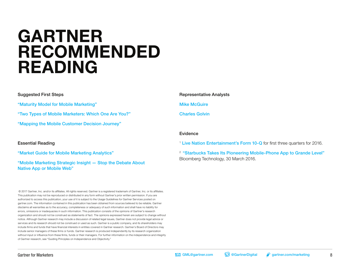### **GARTNER RECOMMENDED READING**

#### Suggested First Steps

["Maturity Model for Mobile Marketing"](https://www.gartner.com/document/code/254030?ref=grbody&refval=3564117) 

["Two Types of Mobile Marketers: Which One Are You?"](https://www.gartner.com/document/code/316205?ref=grbody&refval=3564117) 

["Mapping the Mobile Customer Decision Journey"](https://www.gartner.com/document/code/272181?ref=grbody&refval=3564117) 

#### Essential Reading

["Market Guide for Mobile Marketing Analytics"](https://www.gartner.com/document/code/265392?ref=grbody&refval=3564117) 

#### ["Mobile Marketing Strategic Insight — Stop the Debate About](https://www.gartner.com/document/code/272185?ref=grbody&refval=3564117)  [Native App or Mobile Web"](https://www.gartner.com/document/code/272185?ref=grbody&refval=3564117)

 © 2017 Gartner, Inc. and/or its affiliates. All rights reserved. Gartner is a registered trademark of Gartner, Inc. or its affiliates. This publication may not be reproduced or distributed in any form without Gartner's prior written permission. If you are authorized to access this publication, your use of it is subject to the Usage Guidelines for Gartner Services posted on gartner.com. The information contained in this publication has been obtained from sources believed to be reliable. Gartner disclaims all warranties as to the accuracy, completeness or adequacy of such information and shall have no liability for errors, omissions or inadequacies in such information. This publication consists of the opinions of Gartner's research organization and should not be construed as statements of fact. The opinions expressed herein are subject to change without notice. Although Gartner research may include a discussion of related legal issues, Gartner does not provide legal advice or services and its research should not be construed or used as such. Gartner is a public company, and its shareholders may include firms and funds that have financial interests in entities covered in Gartner research. Gartner's Board of Directors may include senior managers of these firms or funds. Gartner research is produced independently by its research organization without input or influence from these firms, funds or their managers. For further information on the independence and integrity of Gartner research, see "Guiding Principles on Independence and Objectivity."

Representative Analysts [Mike McGuire](https://www.gartner.com/marketing/analysts/mike-mcguire.html) 

#### [Charles Golvin](https://www.gartner.com/marketing/analysts/charles-golvin.html)

#### Evidence

<sup>1</sup> [Live Nation Entertainment's Form 10-Q](http://s1.q4cdn.com/788591527/files/doc_financials/2016/Q3/10Q-Q3-2016-As-Filed.pdf) for first three quarters for 2016.

<sup>2</sup> "Starbucks Takes Its Pioneering Mobile-Phone App to Grande Level" Bloomberg Technology, 30 March 2016.